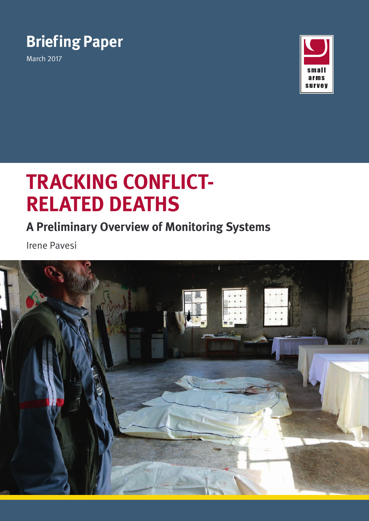# **Briefing Paper**

March 2017



# **TRACKING CONFLICT-RELATED DEATHS**

# **A Preliminary Overview of Monitoring Systems**

Irene Pavesi

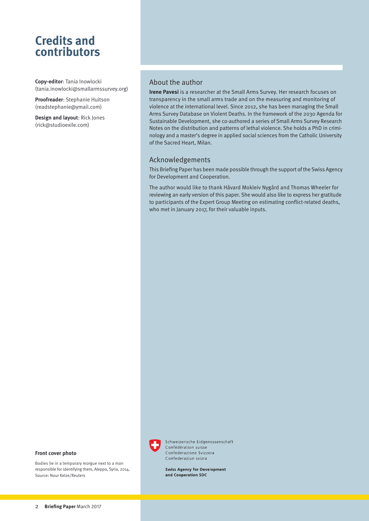### **Credits and contributors**

**Copy-editor**: Tania Inowlocki ([tania.inowlocki@smallarmssurvey.org\)](mailto:tania.inowlocki%40smallarmssurvey.org?subject=Enquiry)

**Proofreader**: Stephanie Huitson ([readstephanie@ymail.com](mailto:readstephanie%40ymail.com?subject=Enquiry))

**Design and layout**: Rick Jones (rick@studioexile.com)

#### About the author

**Irene Pavesi** is a researcher at the Small Arms Survey. Her research focuses on transparency in the small arms trade and on the measuring and monitoring of violence at the international level. Since 2012, she has been managing the Small Arms Survey Database on Violent Deaths. In the framework of the 2030 Agenda for Sustainable Development, she co-authored a series of Small Arms Survey Research Notes on the distribution and patterns of lethal violence. She holds a PhD in criminology and a master's degree in applied social sciences from the Catholic University of the Sacred Heart, Milan.

#### Acknowledgements

This Briefing Paper has been made possible through the support of the Swiss Agency for Development and Cooperation.

The author would like to thank Håvard Mokleiv Nygård and Thomas Wheeler for reviewing an early version of this paper. She would also like to express her gratitude to participants of the Expert Group Meeting on estimating conflict-related deaths, who met in January 2017, for their valuable inputs.



Bodies lie in a temporary morgue next to a man responsible for identifying them, Aleppo, Syria, 2014. Source: Nour Kelze/Reuters



Schweizerische Fidgenossenschaft Confédération suisse Confederazione Svizzera Confederaziun svizra

**Swiss Agency for Development** and Cooperation SDC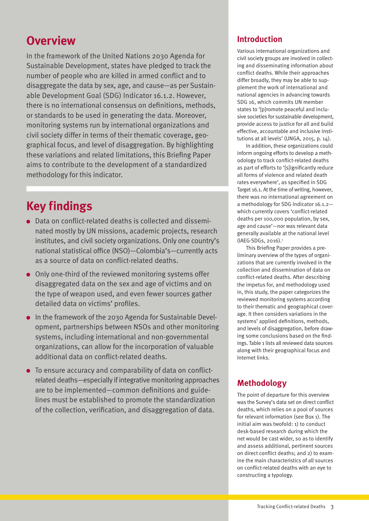### **Overview**

In the framework of the United Nations 2030 Agenda for Sustainable Development, states have pledged to track the number of people who are killed in armed conflict and to disaggregate the data by sex, age, and cause—as per Sustainable Development Goal (SDG) Indicator 16.1.2. However, there is no international consensus on definitions, methods, or standards to be used in generating the data. Moreover, monitoring systems run by international organizations and civil society differ in terms of their thematic coverage, geographical focus, and level of disaggregation. By highlighting these variations and related limitations, this Briefing Paper aims to contribute to the development of a standardized methodology for this indicator.

## **Key findings**

- Data on conflict-related deaths is collected and disseminated mostly by UN missions, academic projects, research institutes, and civil society organizations. Only one country's national statistical office (NSO)—Colombia's—currently acts as a source of data on conflict-related deaths.
- Only one-third of the reviewed monitoring systems offer disaggregated data on the sex and age of victims and on the type of weapon used, and even fewer sources gather detailed data on victims' profiles.
- In the framework of the 2030 Agenda for Sustainable Development, partnerships between NSOs and other monitoring systems, including international and non-governmental organizations, can allow for the incorporation of valuable additional data on conflict-related deaths.
- To ensure accuracy and comparability of data on conflictrelated deaths—especially if integrative monitoring approaches are to be implemented—common definitions and guidelines must be established to promote the standardization of the collection, verification, and disaggregation of data.

#### **Introduction**

Various international organizations and civil society groups are involved in collecting and disseminating information about conflict deaths. While their approaches differ broadly, they may be able to supplement the work of international and national agencies in advancing towards SDG 16, which commits UN member states to '[p]romote peaceful and inclusive societies for sustainable development, provide access to justice for all and build effective, accountable and inclusive institutions at all levels' (UNGA, 2015, p. 14).

In addition, these organizations could inform ongoing efforts to develop a methodology to track conflict-related deaths as part of efforts to '[s]ignificantly reduce all forms of violence and related death rates everywhere', as specified in SDG Target 16.1. At the time of writing, however, there was no international agreement on a methodology for SDG Indicator 16.1.2 which currently covers 'conflict-related deaths per 100,000 population, by sex, age and cause'—nor was relevant data generally available at the national level (IAEG-SDGs, 2016).1

This Briefing Paper provides a preliminary overview of the types of organizations that are currently involved in the collection and dissemination of data on conflict-related deaths. After describing the impetus for, and methodology used in, this study, the paper categorizes the reviewed monitoring systems according to their thematic and geographical coverage. It then considers variations in the systems' applied definitions, methods, and levels of disaggregation, before drawing some conclusions based on the findings. Table 1 lists all reviewed data sources along with their geographical focus and Internet links.

#### **Methodology**

The point of departure for this overview was the Survey's data set on direct conflict deaths, which relies on a pool of sources for relevant information (see Box 1). The initial aim was twofold: 1) to conduct desk-based research during which the net would be cast wider, so as to identify and assess additional, pertinent sources on direct conflict deaths; and 2) to examine the main characteristics of all sources on conflict-related deaths with an eye to constructing a typology.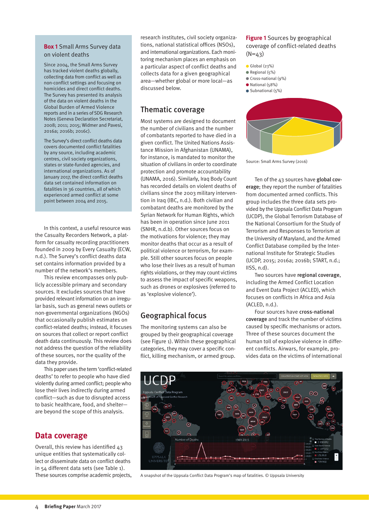#### **Box 1** Small Arms Survey data on violent deaths

Since 2004, the Small Arms Survey has tracked violent deaths globally, collecting data from conflict as well as non-conflict settings and focusing on homicides and direct conflict deaths. The Survey has presented its analysis of the data on violent deaths in the Global Burden of Armed Violence reports and in a series of SDG Research Notes (Geneva Declaration Secretariat, 2008; 2011; 2015; Widmer and Pavesi, 2016a; 2016b; 2016c).

The Survey's direct conflict deaths data covers documented conflict fatalities by any source, including academic centres, civil society organizations, states or state-funded agencies, and international organizations. As of January 2017, the direct conflict deaths data set contained information on fatalities in 36 countries, all of which experienced armed conflict at some point between 2004 and 2015.

In this context, a useful resource was the Casualty Recorders Network, a platform for casualty recording practitioners founded in 2009 by Every Casualty (ECW, n.d.). The Survey's conflict deaths data set contains information provided by a number of the network's members.

This review encompasses only publicly accessible primary and secondary sources. It excludes sources that have provided relevant information on an irregular basis, such as general news outlets or non-governmental organizations (NGOs) that occasionally publish estimates on conflict-related deaths; instead, it focuses on sources that collect or report conflict death data continuously. This review does not address the question of the reliability of these sources, nor the quality of the data they provide.

This paper uses the term 'conflict-related deaths' to refer to people who have died violently during armed conflict; people who lose their lives indirectly during armed conflict—such as due to disrupted access to basic healthcare, food, and shelter are beyond the scope of this analysis.

#### **Data coverage**

Overall, this review has identified 43 unique entities that systematically collect or disseminate data on conflict deaths in 54 different data sets (see Table 1). These sources comprise academic projects, research institutes, civil society organizations, national statistical offices (NSOs), and international organizations. Each monitoring mechanism places an emphasis on a particular aspect of conflict deaths and collects data for a given geographical area—whether global or more local—as discussed below.

#### Thematic coverage

Most systems are designed to document the number of civilians and the number of combatants reported to have died in a given conflict. The United Nations Assistance Mission in Afghanistan (UNAMA), for instance, is mandated to monitor the situation of civilians in order to coordinate protection and promote accountability (UNAMA, 2016). Similarly, Iraq Body Count has recorded details on violent deaths of civilians since the 2003 military intervention in Iraq (IBC, n.d.). Both civilian and combatant deaths are monitored by the Syrian Network for Human Rights, which has been in operation since June 2011 (SNHR, n.d.b). Other sources focus on the motivations for violence; they may monitor deaths that occur as a result of political violence or terrorism, for example. Still other sources focus on people who lose their lives as a result of human rights violations, or they may count victims to assess the impact of specific weapons, such as drones or explosives (referred to as 'explosive violence').

#### Geographical focus

The monitoring systems can also be grouped by their geographical coverage (see Figure 1). Within these geographical categories, they may cover a specific conflict, killing mechanism, or armed group.

**Figure 1** Sources by geographical coverage of conflict-related deaths  $(N=43)$ 

- Global (23%)
- Regional (5%)
- Cross-national (9%)
- National (58%)
- $\bullet$  Subnational (5%)



Source: Small Arms Survey (2016)

Ten of the 43 sources have global coverage; they report the number of fatalities from documented armed conflicts. This group includes the three data sets provided by the Uppsala Conflict Data Program (UCDP), the Global Terrorism Database of the National Consortium for the Study of Terrorism and Responses to Terrorism at the University of Maryland, and the Armed Conflict Database compiled by the International Institute for Strategic Studies (UCDP, 2015; 2016a; 2016b; START, n.d.; IISS, n.d).

Two sources have regional coverage, including the Armed Conflict Location and Event Data Project (ACLED), which focuses on conflicts in Africa and Asia (ACLED, n.d.).

Four sources have cross-national coverage and track the number of victims caused by specific mechanisms or actors. Three of these sources document the human toll of explosive violence in different conflicts. Airwars, for example, provides data on the victims of international



A snapshot of the Uppsala Conflict Data Program's map of fatalities. © Uppsala University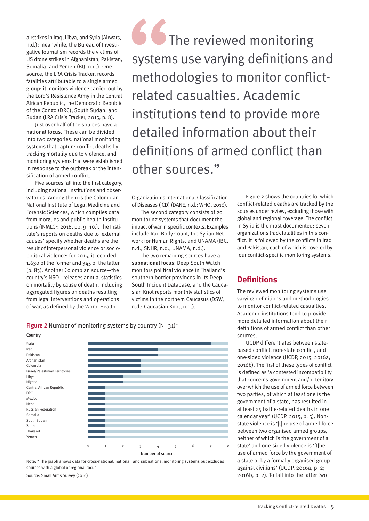airstrikes in Iraq, Libya, and Syria (Airwars, n.d.); meanwhile, the Bureau of Investigative Journalism records the victims of US drone strikes in Afghanistan, Pakistan, Somalia, and Yemen (BIJ, n.d.). One source, the LRA Crisis Tracker, records fatalities attributable to a single armed group: it monitors violence carried out by the Lord's Resistance Army in the Central African Republic, the Democratic Republic of the Congo (DRC), South Sudan, and Sudan (LRA Crisis Tracker, 2015, p. 8).

Just over half of the sources have a national focus. These can be divided into two categories: national monitoring systems that capture conflict deaths by tracking mortality due to violence, and monitoring systems that were established in response to the outbreak or the intensification of armed conflict.

Five sources fall into the first category, including national institutions and observatories. Among them is the Colombian National Institute of Legal Medicine and Forensic Sciences, which compiles data from morgues and public health institutions (INMLCF, 2016, pp. 9–10.). The Institute's reports on deaths due to 'external causes' specify whether deaths are the result of interpersonal violence or sociopolitical violence; for 2015, it recorded 1,630 of the former and 345 of the latter (p. 83). Another Colombian source—the country's NSO—releases annual statistics on mortality by cause of death, including aggregated figures on deaths resulting from legal interventions and operations of war, as defined by the World Health

 The reviewed monitoring systems use varying definitions and methodologies to monitor conflictrelated casualties. Academic institutions tend to provide more detailed information about their definitions of armed conflict than other sources."

Organization's International Classification of Diseases (ICD) (DANE, n.d.; WHO, 2016).

The second category consists of 20 monitoring systems that document the impact of war in specific contexts. Examples include Iraq Body Count, the Syrian Network for Human Rights, and UNAMA (IBC, n.d.; SNHR, n.d.; UNAMA, n.d.).

The two remaining sources have a subnational focus: Deep South Watch monitors political violence in Thailand's southern border provinces in its Deep South Incident Database, and the Caucasian Knot reports monthly statistics of victims in the northern Caucasus (DSW, n.d.; Caucasian Knot, n.d.).

**Figure 2** Number of monitoring systems by country (N=31)<sup>\*</sup>



Note: \* The graph shows data for cross-national, national, and subnational monitoring systems but excludes sources with a global or regional focus.

Source: Small Arms Survey (2016)

Figure 2 shows the countries for which conflict-related deaths are tracked by the sources under review, excluding those with global and regional coverage. The conflict in Syria is the most documented; seven organizations track fatalities in this conflict. It is followed by the conflicts in Iraq and Pakistan, each of which is covered by four conflict-specific monitoring systems.

#### **Definitions**

The reviewed monitoring systems use varying definitions and methodologies to monitor conflict-related casualties. Academic institutions tend to provide more detailed information about their definitions of armed conflict than other sources.

UCDP differentiates between statebased conflict, non-state conflict, and one-sided violence (UCDP, 2015; 2016a; 2016b). The first of these types of conflict is defined as 'a contested incompatibility that concerns government and/or territory over which the use of armed force between two parties, of which at least one is the government of a state, has resulted in at least 25 battle-related deaths in one calendar year' (UCDP, 2015, p. 5). Nonstate violence is '[t]he use of armed force between two organised armed groups, neither of which is the government of a state' and one-sided violence is '[t]he use of armed force by the government of a state or by a formally organised group against civilians' (UCDP, 2016a, p. 2; 2016b, p. 2). To fall into the latter two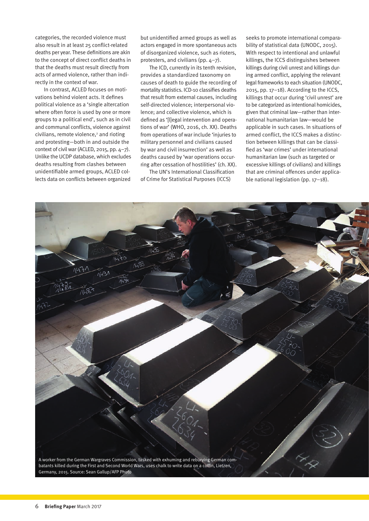categories, the recorded violence must also result in at least 25 conflict-related deaths per year. These definitions are akin to the concept of direct conflict deaths in that the deaths must result directly from acts of armed violence, rather than indirectly in the context of war.

In contrast, ACLED focuses on motivations behind violent acts. It defines political violence as a 'single altercation where often force is used by one or more groups to a political end', such as in civil and communal conflicts, violence against civilians, remote violence,<sup>2</sup> and rioting and protesting—both in and outside the context of civil war (ACLED, 2015, pp. 4–7). Unlike the UCDP database, which excludes deaths resulting from clashes between unidentifiable armed groups, ACLED collects data on conflicts between organized but unidentified armed groups as well as actors engaged in more spontaneous acts of disorganized violence, such as rioters, protesters, and civilians (pp. 4–7).

The ICD, currently in its tenth revision, provides a standardized taxonomy on causes of death to guide the recording of mortality statistics. ICD-10 classifies deaths that result from external causes, including self-directed violence; interpersonal violence; and collective violence, which is defined as '[l]egal intervention and operations of war' (WHO, 2016, ch. XX). Deaths from operations of war include 'injuries to military personnel and civilians caused by war and civil insurrection' as well as deaths caused by 'war operations occurring after cessation of hostilities' (ch. XX).

The UN's International Classification of Crime for Statistical Purposes (ICCS)

seeks to promote international comparability of statistical data (UNODC, 2015). With respect to intentional and unlawful killings, the ICCS distinguishes between killings during civil unrest and killings during armed conflict, applying the relevant legal frameworks to each situation (UNODC, 2015, pp. 17–18). According to the ICCS, killings that occur during 'civil unrest' are to be categorized as intentional homicides, given that criminal law—rather than international humanitarian law—would be applicable in such cases. In situations of armed conflict, the ICCS makes a distinction between killings that can be classified as 'war crimes' under international humanitarian law (such as targeted or excessive killings of civilians) and killings that are criminal offences under applicable national legislation (pp. 17–18).

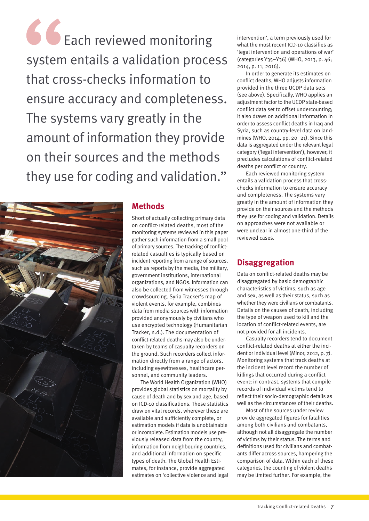GC Each reviewed monitoring system entails a validation process that cross-checks information to ensure accuracy and completeness. The systems vary greatly in the amount of information they provide on their sources and the methods they use for coding and validation."



#### **Methods**

Short of actually collecting primary data on conflict-related deaths, most of the monitoring systems reviewed in this paper gather such information from a small pool of primary sources. The tracking of conflictrelated casualties is typically based on incident reporting from a range of sources, such as reports by the media, the military, government institutions, international organizations, and NGOs. Information can also be collected from witnesses through crowdsourcing. Syria Tracker's map of violent events, for example, combines data from media sources with information provided anonymously by civilians who use encrypted technology (Humanitarian Tracker, n.d.). The documentation of conflict-related deaths may also be undertaken by teams of casualty recorders on the ground. Such recorders collect information directly from a range of actors, including eyewitnesses, healthcare personnel, and community leaders.

The World Health Organization (WHO) provides global statistics on mortality by cause of death and by sex and age, based on ICD-10 classifications. These statistics draw on vital records, wherever these are available and sufficiently complete, or estimation models if data is unobtainable or incomplete. Estimation models use previously released data from the country, information from neighbouring countries, and additional information on specific types of death. The Global Health Estimates, for instance, provide aggregated estimates on 'collective violence and legal intervention', a term previously used for what the most recent ICD-10 classifies as 'legal intervention and operations of war' (categories Y35–Y36) (WHO, 2013, p. 46; 2014, p. 11; 2016).

In order to generate its estimates on conflict deaths, WHO adjusts information provided in the three UCDP data sets (see above). Specifically, WHO applies an adjustment factor to the UCDP state-based conflict data set to offset undercounting; it also draws on additional information in order to assess conflict deaths in Iraq and Syria, such as country-level data on landmines (WHO, 2014, pp. 20–21). Since this data is aggregated under the relevant legal category ('legal intervention'), however, it precludes calculations of conflict-related deaths per conflict or country.

Each reviewed monitoring system entails a validation process that crosschecks information to ensure accuracy and completeness. The systems vary greatly in the amount of information they provide on their sources and the methods they use for coding and validation. Details on approaches were not available or were unclear in almost one-third of the reviewed cases.

#### **Disaggregation**

Data on conflict-related deaths may be disaggregated by basic demographic characteristics of victims, such as age and sex, as well as their status, such as whether they were civilians or combatants. Details on the causes of death, including the type of weapon used to kill and the location of conflict-related events, are not provided for all incidents.

Casualty recorders tend to document conflict-related deaths at either the incident or individual level (Minor, 2012, p. 7). Monitoring systems that track deaths at the incident level record the number of killings that occurred during a conflict event; in contrast, systems that compile records of individual victims tend to reflect their socio-demographic details as well as the circumstances of their deaths.

Most of the sources under review provide aggregated figures for fatalities among both civilians and combatants, although not all disaggregate the number of victims by their status. The terms and definitions used for civilians and combatants differ across sources, hampering the comparison of data. Within each of these categories, the counting of violent deaths may be limited further. For example, the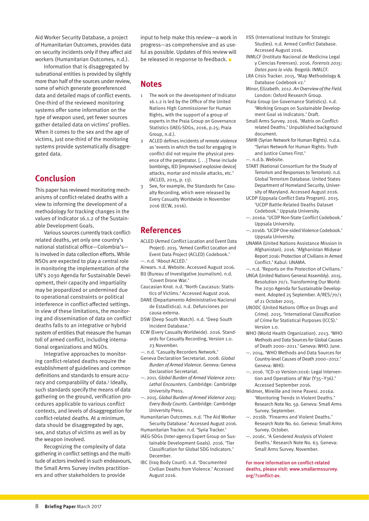Aid Worker Security Database, a project of Humanitarian Outcomes, provides data on security incidents only if they affect aid workers (Humanitarian Outcomes, n.d.).

Information that is disaggregated by subnational entities is provided by slightly more than half of the sources under review, some of which generate georeferenced data and detailed maps of conflict events. One-third of the reviewed monitoring systems offer some information on the type of weapon used, yet fewer sources gather detailed data on victims' profiles. When it comes to the sex and the age of victims, just one-third of the monitoring systems provide systematically disaggregated data.

#### **Conclusion**

This paper has reviewed monitoring mechanisms of conflict-related deaths with a view to informing the development of a methodology for tracking changes in the values of Indicator 16.1.2 of the Sustainable Development Goals.

Various sources currently track conflictrelated deaths, yet only one country's national statistical office—Colombia's is involved in data collection efforts. While NSOs are expected to play a central role in monitoring the implementation of the UN's 2030 Agenda for Sustainable Development, their capacity and impartiality may be jeopardized or undermined due to operational constraints or political interference in conflict-affected settings. In view of these limitations, the monitoring and dissemination of data on conflict deaths falls to an integrative or hybrid system of entities that measure the human toll of armed conflict, including international organizations and NGOs.

Integrative approaches to monitoring conflict-related deaths require the establishment of guidelines and common definitions and standards to ensure accuracy and comparability of data.<sup>3</sup> Ideally, such standards specify the means of data gathering on the ground, verification procedures applicable to various conflict contexts, and levels of disaggregation for conflict-related deaths. At a minimum, data should be disaggregated by age, sex, and status of victims as well as by the weapon involved.

Recognizing the complexity of data gathering in conflict settings and the multitude of actors involved in such endeavours, the Small Arms Survey invites practitioners and other stakeholders to provide

input to help make this review—a work in progress—as comprehensive and as useful as possible. Updates of this review will be released in response to feedback.  $\bullet$ 

#### **Notes**

- 1 The work on the development of Indicator 16.1.2 is led by the Office of the United Nations High Commissioner for Human Rights, with the support of a group of experts in the Praia Group on Governance Statistics (IAEG-SDGs, 2016, p.25; Praia Group, n.d.).
- 2 ACLED defines incidents of *remote violence*  as 'events in which the tool for engaging in conflict did not require the physical presence of the perpetrator. [. . .] These include bombings, IED [improvised explosive device] attacks, mortar and missile attacks, etc.' (ACLED, 2015, p. 13).
- 3 See, for example, the Standards for Casualty Recording, which were released by Every Casualty Worldwide in November 2016 (ECW, 2016).

#### **References**

- ACLED (Armed Conflict Location and Event Data Project). 2015. ['Armed Conflict Location and](http://www.acleddata.com/wp-content/uploads/2015/01/ACLED_Codebook_2015.pdf)  [Event Data Project \(ACLED\) Codebook.'](http://www.acleddata.com/wp-content/uploads/2015/01/ACLED_Codebook_2015.pdf)  —. n.d. ['About ACLED.'](http://www.acleddata.com/about-acled/)
- Airwars. n.d. [Website.](https://airwars.org/) Accessed August 2016.
- BIJ (Bureau of Investigative Journalism). n.d. ['Covert Drone War.'](https://www.thebureauinvestigates.com/category/projects/drones/)
- Caucasian Knot. n.d. ['North Caucasus: Statis](http://www.eng.kavkaz-uzel.eu/rubric/601)[tics of Victims.' A](http://www.eng.kavkaz-uzel.eu/rubric/601)ccessed August 2016.
- DANE (Departamento Administrativo Nacional de Estadística). n.d. [Defunciones por](http://www.dane.gov.co/index.php/estadisticas-por-tema/salud/nacimientos-y-defunciones/defunciones-no-fetales)  [causa externa.](http://www.dane.gov.co/index.php/estadisticas-por-tema/salud/nacimientos-y-defunciones/defunciones-no-fetales)
- DSW (Deep South Watch). n.d. ['Deep South](http://www.deepsouthwatch.org/dsid)  [Incident Database.'](http://www.deepsouthwatch.org/dsid)
- ECW (Every Casualty Worldwide). 2016. [Stand](http://www.everycasualty.org/downloads/ec/pdf/StandardsforCasualtyRecording-Version1.0(2016).pdf)[ards for Casualty Recording, Version 1.0.](http://www.everycasualty.org/downloads/ec/pdf/StandardsforCasualtyRecording-Version1.0(2016).pdf)  23 November.
- —. n.d. ['Casualty Recorders Network.'](http://www.everycasualty.org/practice/ipn)
- Geneva Declaration Secretariat. 2008. *[Global](http://www.genevadeclaration.org/measurability/global-burden-of-armed-violence/global-burden-of-armed-violence-2008.html)  [Burden of Armed Violence](http://www.genevadeclaration.org/measurability/global-burden-of-armed-violence/global-burden-of-armed-violence-2008.html)*. Geneva: Geneva Declaration Secretariat.
- —. 2011. *[Global Burden of Armed Violence 2011:](http://www.genevadeclaration.org/measurability/global-burden-of-armed-violence/global-burden-of-armed-violence-2011.html)  [Lethal Encounters](http://www.genevadeclaration.org/measurability/global-burden-of-armed-violence/global-burden-of-armed-violence-2011.html)*. Cambridge: Cambridge University Press.
- —. 2015. *[Global Burden of Armed Violence 2015:](http://www.genevadeclaration.org/measurability/global-burden-of-armed-violence/global-burden-of-armed-violence-2015.html)  [Every Body Counts](http://www.genevadeclaration.org/measurability/global-burden-of-armed-violence/global-burden-of-armed-violence-2015.html)*. Cambridge: Cambridge University Press.
- Humanitarian Outcomes. n.d. ['The Aid Worker](https://aidworkersecurity.org/)  [Security Database.'](https://aidworkersecurity.org/) Accessed August 2016. Humanitarian Tracker. n.d. ['Syria Tracker.'](http://www.humanitariantracker.org/syria-tracker)
- IAEG-SDGs (Inter-agency Expert Group on Sustainable Development Goals). 2016. ['Tier](https://unstats.un.org/sdgs/files/meetings/iaeg-sdgs-meeting-04/Tier%20Classification%20of%20SDG%20Indicators_21%20Dec%20for%20website.pdf)  [Classification for Global SDG Indicators.'](https://unstats.un.org/sdgs/files/meetings/iaeg-sdgs-meeting-04/Tier%20Classification%20of%20SDG%20Indicators_21%20Dec%20for%20website.pdf)  December.
- IBC (Iraq Body Count). n.d. ['Documented](https://www.iraqbodycount.org/database/)  [Civilian Deaths from Violence.'](https://www.iraqbodycount.org/database/) Accessed August 2016.
- IISS (International Institute for Strategic Studies). n.d. [Armed Conflict Database.](https://acd.iiss.org)  Accessed August 2016.
- INMLCF (Instituto Nacional de Medicina Legal y Ciencias Forenses). 2016. *Forensis 2015: Datos para la vida*. Bogotà: INMLCF.
- LRA Crisis Tracker. 2015. ['Map Methodology &](http://www.theresolve.org/wp-content/uploads/2015/02/Map-Methodology-and-Database-Codebook-v2-2015.pdf)  Database Codebook v2.
- Minor, Elizabeth. 2012. *[An Overview of the Field](http://www.everycasualty.org/downloads/ec/ecpp1-overview.pdf)*. London: Oxford Research Group.
- Praia Group (on Governance Statistics). n.d. ['Working Groups on Sustainable Develop](http://ine.cv/praiagroup/LinkDocuments/Link%204_Working%20Groups%20on%20SDG%2016%20indicators.pdf)[ment Goal 16 Indicators.'](http://ine.cv/praiagroup/LinkDocuments/Link%204_Working%20Groups%20on%20SDG%2016%20indicators.pdf) Draft.
- Small Arms Survey. 2016. 'Matrix on Conflictrelated Deaths.' Unpublished background document.
- SNHR (Syrian Network for Human Rights). n.d.a. ['Syrian Network for Human Rights: Truth](http://sn4hr.org/public_html/wp-content/pdf/english/SNHR_Methodology_en.pdf)  [and Justice Comes First.'](http://sn4hr.org/public_html/wp-content/pdf/english/SNHR_Methodology_en.pdf)  —. n.d.b. [Website.](http://sn4hr.org/)
- START (National Consortium for the Study of Terrorism and Responses to Terrorism). n.d.
- [Global Terrorism Database.](http://www.start.umd.edu/gtd/) United States Department of Homeland Security, University of Maryland. Accessed August 2016.
- UCDP (Uppsala Conflict Data Program). 2015. ['UCDP Battle-Related Deaths Dataset](http://ucdp.uu.se/downloads/brd/ucdp-brd-codebook.pdf)  [Codebook.'](http://ucdp.uu.se/downloads/brd/ucdp-brd-codebook.pdf) Uppsala University.
- —. 2016a. ['UCDP Non-State Conflict Codebook.'](http://ucdp.uu.se/downloads/nsos/ucdp-nonstate-25-2016.pdf)  Uppsala University.
- —. 2016b. ['UCDP One-sided Violence Codebook.'](http://ucdp.uu.se/downloads/nsos/ucdp-onesided-14-2016.pdf)  Uppsala University.
- UNAMA (United Nations Assistance Mission in Afghanistan). 2016. ['Afghanistan Midyear](https://unama.unmissions.org/sites/default/files/protection_of_civilians_in_armed_conflict_midyear_report_2016_final_rev.1-9sept.pdf)  [Report 2016: Protection of Civilians in Armed](https://unama.unmissions.org/sites/default/files/protection_of_civilians_in_armed_conflict_midyear_report_2016_final_rev.1-9sept.pdf)  [Conflict.' K](https://unama.unmissions.org/sites/default/files/protection_of_civilians_in_armed_conflict_midyear_report_2016_final_rev.1-9sept.pdf)abul: UNAMA.
- —. n.d. ['Reports on the Protection of Civilians.'](https://unama.unmissions.org/protection-of-civilians-reports)  UNGA (United Nations General Assembly). 2015. Resolution 70/1. [Transforming Our World:](http://www.un.org/ga/search/view_doc.asp?symbol=A/RES/70/1&Lang=E)  [The 2030 Agenda for Sustainable Develop](http://www.un.org/ga/search/view_doc.asp?symbol=A/RES/70/1&Lang=E)[ment](http://www.un.org/ga/search/view_doc.asp?symbol=A/RES/70/1&Lang=E)*.* Adopted 25 September. A/RES/70/1 of 21 October 2015.
- UNODC (United Nations Office on Drugs and Crime). 2015. ['International Classification](https://www.unodc.org/documents/data-and-analysis/statistics/crime/ICCS/ICCS_English_2016_web.pdf)  [of Crime for Statistical Purposes \(ICCS\).'](https://www.unodc.org/documents/data-and-analysis/statistics/crime/ICCS/ICCS_English_2016_web.pdf)  Version 1.0.
- WHO (World Health Organization). 2013. ['WHO](http://www.who.int/healthinfo/global_burden_disease/GlobalCOD_method_2000-2011.pdf)  [Methods and Data Sources for Global Causes](http://www.who.int/healthinfo/global_burden_disease/GlobalCOD_method_2000-2011.pdf)  [of Death 2000–2011.'](http://www.who.int/healthinfo/global_burden_disease/GlobalCOD_method_2000-2011.pdf) Geneva: WHO. June.
- —. 2014. ['WHO Methods and Data Sources for](http://www.who.int/healthinfo/statistics/GlobalCOD_method.pdf)  [Country-level Causes of Death 2000–2012.'](http://www.who.int/healthinfo/statistics/GlobalCOD_method.pdf)  Geneva: WHO.
- —. 2016. ['ICD-10 Version:2016: Legal Interven](http://apps.who.int/classifications/icd10/browse/2016/en#/Y35-Y36)tion and Operations of War (Y35-Y36).' Accessed September 2016.
- Widmer, Mireille and Irene Pavesi. 2016a. ['Monitoring Trends in Violent Deaths.'](http://www.smallarmssurvey.org/fileadmin/docs/H-Research_Notes/SAS-Research-Note-59.pdf)  Research Note No. 59. Geneva: Small Arms Survey. September.
- —. 2016b. ['Firearms and Violent Deaths.'](http://www.smallarmssurvey.org/fileadmin/docs/H-Research_Notes/SAS-Research-Note-60.pdf)  Research Note No. 60. Geneva: Small Arms Survey. October.
- —. 2016c. ['A Gendered Analysis of Violent](http://www.smallarmssurvey.org/fileadmin/docs/H-Research_Notes/SAS-Research-Note-63.pdf)  [Deaths.' R](http://www.smallarmssurvey.org/fileadmin/docs/H-Research_Notes/SAS-Research-Note-63.pdf)esearch Note No. 63. Geneva: Small Arms Survey. November.

For more information on conflict-related deaths, please visit: [www.smallarmssurvey.](www.smallarmssurvey.org/?conflict-av) [org/?conflict-av.](www.smallarmssurvey.org/?conflict-av)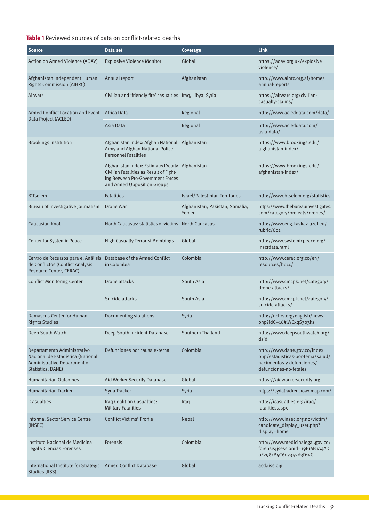#### **Table 1** Reviewed sources of data on conflict-related deaths

| <b>Source</b>                                                                                                         | Data set                                                                                                                                                       | Coverage                                 | Link                                                                                                                      |
|-----------------------------------------------------------------------------------------------------------------------|----------------------------------------------------------------------------------------------------------------------------------------------------------------|------------------------------------------|---------------------------------------------------------------------------------------------------------------------------|
| Action on Armed Violence (AOAV)                                                                                       | <b>Explosive Violence Monitor</b>                                                                                                                              | Global                                   | https://aoav.org.uk/explosive<br>violence/                                                                                |
| Afghanistan Independent Human<br>Rights Commission (AIHRC)                                                            | Annual report                                                                                                                                                  | Afghanistan                              | http://www.aihrc.org.af/home/<br>annual-reports                                                                           |
| <b>Airwars</b>                                                                                                        | Civilian and 'friendly fire' casualties Iraq, Libya, Syria                                                                                                     |                                          | https://airwars.org/civilian-<br>casualty-claims/                                                                         |
| Armed Conflict Location and Event<br>Data Project (ACLED)                                                             | Africa Data                                                                                                                                                    | Regional                                 | http://www.acleddata.com/data/                                                                                            |
|                                                                                                                       | Asia Data                                                                                                                                                      | Regional                                 | http://www.acleddata.com/<br>asia-data/                                                                                   |
| <b>Brookings Institution</b>                                                                                          | Afghanistan Index: Afghan National<br>Army and Afghan National Police<br><b>Personnel Fatalities</b>                                                           | Afghanistan                              | https://www.brookings.edu/<br>afghanistan-index/                                                                          |
|                                                                                                                       | Afghanistan Index: Estimated Yearly Afghanistan<br>Civilian Fatalities as Result of Fight-<br>ing Between Pro-Government Forces<br>and Armed Opposition Groups |                                          | https://www.brookings.edu/<br>afghanistan-index/                                                                          |
| <b>B'Tselem</b>                                                                                                       | <b>Fatalities</b>                                                                                                                                              | <b>Israel/Palestinian Territories</b>    | http://www.btselem.org/statistics                                                                                         |
| Bureau of Investigative Journalism                                                                                    | Drone War                                                                                                                                                      | Afghanistan, Pakistan, Somalia,<br>Yemen | https://www.thebureauinvestigates.<br>com/category/projects/drones/                                                       |
| Caucasian Knot                                                                                                        | North Caucasus: statistics of victims                                                                                                                          | <b>North Caucasus</b>                    | http://www.eng.kavkaz-uzel.eu/<br>rubric/601                                                                              |
| Center for Systemic Peace                                                                                             | <b>High Casualty Terrorist Bombings</b>                                                                                                                        | Global                                   | http://www.systemicpeace.org/<br>inscrdata.html                                                                           |
| Centro de Recursos para el Análisis<br>de Conflictos (Conflict Analysis<br>Resource Center, CERAC)                    | Database of the Armed Conflict<br>in Colombia                                                                                                                  | Colombia                                 | http://www.cerac.org.co/en/<br>resources/bdcc/                                                                            |
| <b>Conflict Monitoring Center</b>                                                                                     | Drone attacks                                                                                                                                                  | South Asia                               | http://www.cmcpk.net/category/<br>drone-attacks/                                                                          |
|                                                                                                                       | Suicide attacks                                                                                                                                                | South Asia                               | http://www.cmcpk.net/category/<br>suicide-attacks/                                                                        |
| Damascus Center for Human<br><b>Rights Studies</b>                                                                    | Documenting violations                                                                                                                                         | Syria                                    | http://dchrs.org/english/news.<br>php?idC=16#.WCxqS303ksl                                                                 |
| Deep South Watch                                                                                                      | Deep South Incident Database                                                                                                                                   | Southern Thailand                        | http://www.deepsouthwatch.org/<br>dsid                                                                                    |
| Departamento Administrativo<br>Nacional de Estadística (National<br>Administrative Department of<br>Statistics, DANE) | Defunciones por causa externa                                                                                                                                  | Colombia                                 | http://www.dane.gov.co/index.<br>php/estadisticas-por-tema/salud/<br>nacimientos-v-defunciones/<br>defunciones-no-fetales |
| <b>Humanitarian Outcomes</b>                                                                                          | Aid Worker Security Database                                                                                                                                   | Global                                   | https://aidworkersecurity.org                                                                                             |
| Humanitarian Tracker                                                                                                  | Syria Tracker                                                                                                                                                  | Syria                                    | https://syriatracker.crowdmap.com/                                                                                        |
| <b>iCasualties</b>                                                                                                    | Iraq Coalition Casualties:<br><b>Military Fatalities</b>                                                                                                       | Iraq                                     | http://icasualties.org/iraq/<br>fatalities.aspx                                                                           |
| <b>Informal Sector Service Centre</b><br>(INSEC)                                                                      | <b>Conflict Victims' Profile</b>                                                                                                                               | Nepal                                    | http://www.insec.org.np/victim/<br>candidate_display_user.php?<br>display=home                                            |
| Instituto Nacional de Medicina<br>Legal y Ciencias Forenses                                                           | <b>Forensis</b>                                                                                                                                                | Colombia                                 | http://www.medicinalegal.gov.co/<br>forensis;jsessionid=19F16B1A4AD<br>0F2981B5C60734263D15C                              |
| International Institute for Strategic<br>Studies (IISS)                                                               | <b>Armed Conflict Database</b>                                                                                                                                 | Global                                   | acd.iiss.org                                                                                                              |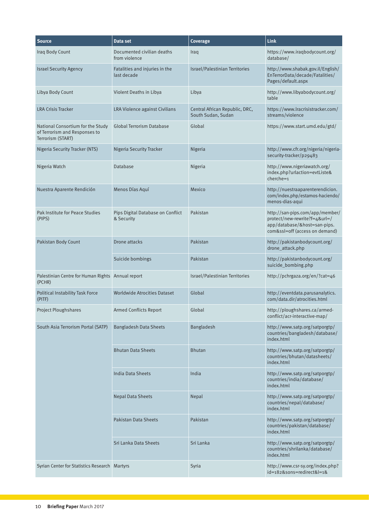| <b>Source</b>                                                                           | Data set                                        | <b>Coverage</b>                                      | Link                                                                                                                               |
|-----------------------------------------------------------------------------------------|-------------------------------------------------|------------------------------------------------------|------------------------------------------------------------------------------------------------------------------------------------|
| Iraq Body Count                                                                         | Documented civilian deaths<br>from violence     | Iraq                                                 | https://www.iraqbodycount.org/<br>database/                                                                                        |
| <b>Israel Security Agency</b>                                                           | Fatalities and injuries in the<br>last decade   | Israel/Palestinian Territories                       | http://www.shabak.gov.il/English/<br>EnTerrorData/decade/Fatalities/<br>Pages/default.aspx                                         |
| Libya Body Count                                                                        | Violent Deaths in Libya                         | Libya                                                | http://www.libyabodycount.org/<br>table                                                                                            |
| <b>LRA Crisis Tracker</b>                                                               | LRA Violence against Civilians                  | Central African Republic, DRC,<br>South Sudan, Sudan | https://www.lracrisistracker.com/<br>streams/violence                                                                              |
| National Consortium for the Study<br>of Terrorism and Responses to<br>Terrorism (START) | <b>Global Terrorism Database</b>                | Global                                               | https://www.start.umd.edu/gtd/                                                                                                     |
| <b>Nigeria Security Tracker (NTS)</b>                                                   | Nigeria Security Tracker                        | Nigeria                                              | http://www.cfr.org/nigeria/nigeria-<br>security-tracker/p29483                                                                     |
| Nigeria Watch                                                                           | Database                                        | Nigeria                                              | http://www.nigeriawatch.org/<br>index.php?urlaction=evtListe&<br>$cherche=1$                                                       |
| Nuestra Aparente Rendición                                                              | Menos Días Aquí                                 | Mexico                                               | http://nuestraaparenterendicion.<br>com/index.php/estamos-haciendo/<br>menos-dias-aqui                                             |
| Pak Institute for Peace Studies<br>(PIPS)                                               | Pips Digital Database on Conflict<br>& Security | Pakistan                                             | http://san-pips.com/app/member/<br>protect/new-rewrite?f=4&url=/<br>app/database/&host=san-pips.<br>com&ssl=off (access on demand) |
| Pakistan Body Count                                                                     | Drone attacks                                   | Pakistan                                             | http://pakistanbodycount.org/<br>drone_attack.php                                                                                  |
|                                                                                         | Suicide bombings                                | Pakistan                                             | http://pakistanbodycount.org/<br>suicide_bombing.php                                                                               |
| Palestinian Centre for Human Rights Annual report<br>(PCHR)                             |                                                 | Israel/Palestinian Territories                       | http://pchrgaza.org/en/?cat=46                                                                                                     |
| <b>Political Instability Task Force</b><br>(PITF)                                       | <b>Worldwide Atrocities Dataset</b>             | Global                                               | http://eventdata.parusanalytics.<br>com/data.dir/atrocities.html                                                                   |
| Project Ploughshares                                                                    | <b>Armed Conflicts Report</b>                   | Global                                               | http://ploughshares.ca/armed-<br>conflict/acr-interactive-map/                                                                     |
| South Asia Terrorism Portal (SATP)                                                      | <b>Bangladesh Data Sheets</b>                   | Bangladesh                                           | http://www.satp.org/satporgtp/<br>countries/bangladesh/database/<br>index.html                                                     |
|                                                                                         | <b>Bhutan Data Sheets</b>                       | <b>Bhutan</b>                                        | http://www.satp.org/satporgtp/<br>countries/bhutan/datasheets/<br>index.html                                                       |
|                                                                                         | <b>India Data Sheets</b>                        | India                                                | http://www.satp.org/satporgtp/<br>countries/india/database/<br>index.html                                                          |
|                                                                                         | <b>Nepal Data Sheets</b>                        | Nepal                                                | http://www.satp.org/satporgtp/<br>countries/nepal/database/<br>index.html                                                          |
|                                                                                         | <b>Pakistan Data Sheets</b>                     | Pakistan                                             | http://www.satp.org/satporgtp/<br>countries/pakistan/database/<br>index.html                                                       |
|                                                                                         | Sri Lanka Data Sheets                           | Sri Lanka                                            | http://www.satp.org/satporgtp/<br>countries/shrilanka/database/<br>index.html                                                      |
| Syrian Center for Statistics Research Martyrs                                           |                                                 | Syria                                                | http://www.csr-sy.org/index.php?<br>id=182&sons=redirect&l=1&                                                                      |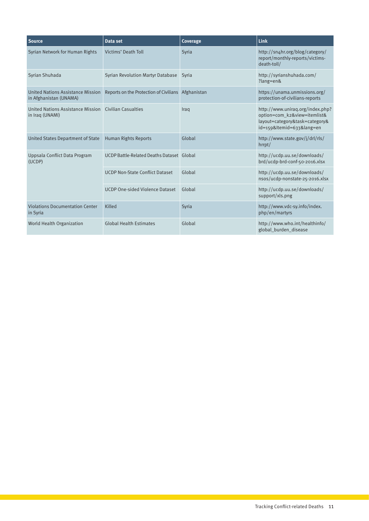| <b>Source</b>                                                      | Data set                                           | Coverage | Link                                                                                                                        |
|--------------------------------------------------------------------|----------------------------------------------------|----------|-----------------------------------------------------------------------------------------------------------------------------|
| Syrian Network for Human Rights                                    | Victims' Death Toll                                | Syria    | http://sn4hr.org/blog/category/<br>report/monthly-reports/victims-<br>death-toll/                                           |
| Syrian Shuhada                                                     | <b>Syrian Revolution Martyr Database</b>           | Syria    | http://syrianshuhada.com/<br>$?$ lang=en&                                                                                   |
| <b>United Nations Assistance Mission</b><br>in Afghanistan (UNAMA) | Reports on the Protection of Civilians Afghanistan |          | https://unama.unmissions.org/<br>protection-of-civilians-reports                                                            |
| <b>United Nations Assistance Mission</b><br>in Iraq (UNAMI)        | <b>Civilian Casualties</b>                         | Iraq     | http://www.uniraq.org/index.php?<br>option=com_k2&view=itemlist&<br>layout=category&task=category&<br>id=159&Itemid=633⟨=en |
| United States Department of State                                  | <b>Human Rights Reports</b>                        | Global   | http://www.state.gov/j/drl/rls/<br>hrrpt/                                                                                   |
| Uppsala Conflict Data Program<br>(UCDP)                            | UCDP Battle-Related Deaths Dataset Global          |          | http://ucdp.uu.se/downloads/<br>brd/ucdp-brd-conf-50-2016.xlsx                                                              |
|                                                                    | <b>UCDP Non-State Conflict Dataset</b>             | Global   | http://ucdp.uu.se/downloads/<br>nsos/ucdp-nonstate-25-2016.xlsx                                                             |
|                                                                    | <b>UCDP One-sided Violence Dataset</b>             | Global   | http://ucdp.uu.se/downloads/<br>support/xls.png                                                                             |
| <b>Violations Documentation Center</b><br>in Syria                 | Killed                                             | Syria    | http://www.vdc-sy.info/index.<br>php/en/martyrs                                                                             |
| World Health Organization                                          | <b>Global Health Estimates</b>                     | Global   | http://www.who.int/healthinfo/<br>global burden disease                                                                     |